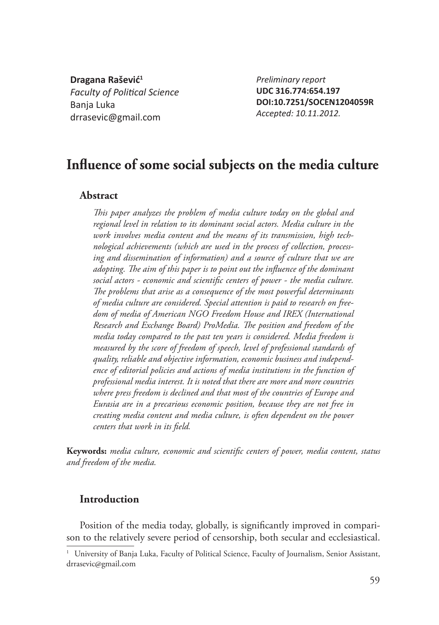**Dragana Rašević<sup>1</sup> Faculty of Political Science** Banja Luka drrasevic@gmail.com

*Preliminary report* **UDC 316.774:654.197 DOI:10.7251/SOCEN1204059R** *Accepted: 10.11.2012.*

# Influence of some social subjects on the media culture

## **Abstract**

This paper analyzes the problem of media culture today on the global and *regional level in relation to its dominant social actors. Media culture in the work involves media content and the means of its transmission, high technological achievements (which are used in the process of collection, processing and dissemination of information) and a source of culture that we are adopting. The aim of this paper is to point out the influence of the dominant* social actors - economic and scientific centers of power - the media culture. The problems that arise as a consequence of the most powerful determinants *of media culture are considered. Special attention is paid to research on freedom of media of American NGO Freedom House and IREX (International*  Research and Exchange Board) ProMedia. The position and freedom of the *media today compared to the past ten years is considered. Media freedom is measured by the score of freedom of speech, level of professional standards of quality, reliable and objective information, economic business and independence of editorial policies and actions of media institutions in the function of professional media interest. It is noted that there are more and more countries where press freedom is declined and that most of the countries of Europe and Eurasia are in a precarious economic position, because they are not free in creating media content and media culture, is often dependent on the power centers that work in its fi eld.*

Keywords: *media culture, economic and scientific centers of power, media content, status and freedom of the media.*

## **Introduction**

Position of the media today, globally, is significantly improved in comparison to the relatively severe period of censorship, both secular and ecclesiastical.

<sup>&</sup>lt;sup>1</sup> University of Banja Luka, Faculty of Political Science, Faculty of Journalism, Senior Assistant, drrasevic@gmail.com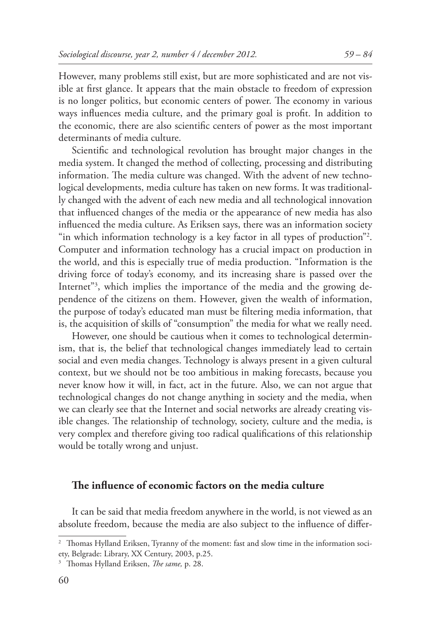However, many problems still exist, but are more sophisticated and are not visible at first glance. It appears that the main obstacle to freedom of expression is no longer politics, but economic centers of power. The economy in various ways influences media culture, and the primary goal is profit. In addition to the economic, there are also scientific centers of power as the most important determinants of media culture.

Scientific and technological revolution has brought major changes in the media system. It changed the method of collecting, processing and distributing information. The media culture was changed. With the advent of new technological developments, media culture has taken on new forms. It was traditionally changed with the advent of each new media and all technological innovation that influenced changes of the media or the appearance of new media has also influenced the media culture. As Eriksen says, there was an information society "in which information technology is a key factor in all types of production"2 . Computer and information technology has a crucial impact on production in the world, and this is especially true of media production. "Information is the driving force of today's economy, and its increasing share is passed over the Internet"3 , which implies the importance of the media and the growing dependence of the citizens on them. However, given the wealth of information, the purpose of today's educated man must be filtering media information, that is, the acquisition of skills of "consumption" the media for what we really need.

However, one should be cautious when it comes to technological determinism, that is, the belief that technological changes immediately lead to certain social and even media changes. Technology is always present in a given cultural context, but we should not be too ambitious in making forecasts, because you never know how it will, in fact, act in the future. Also, we can not argue that technological changes do not change anything in society and the media, when we can clearly see that the Internet and social networks are already creating visible changes. The relationship of technology, society, culture and the media, is very complex and therefore giving too radical qualifications of this relationship would be totally wrong and unjust.

## The influence of economic factors on the media culture

It can be said that media freedom anywhere in the world, is not viewed as an absolute freedom, because the media are also subject to the influence of differ-

<sup>&</sup>lt;sup>2</sup> Thomas Hylland Eriksen, Tyranny of the moment: fast and slow time in the information society, Belgrade: Library, XX Century, 2003, p.25.

<sup>&</sup>lt;sup>3</sup> Thomas Hylland Eriksen, *The same*, p. 28.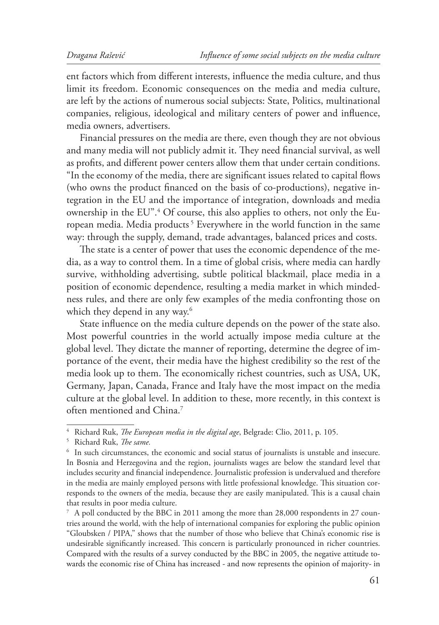ent factors which from different interests, influence the media culture, and thus limit its freedom. Economic consequences on the media and media culture, are left by the actions of numerous social subjects: State, Politics, multinational companies, religious, ideological and military centers of power and influence, media owners, advertisers.

Financial pressures on the media are there, even though they are not obvious and many media will not publicly admit it. They need financial survival, as well as profits, and different power centers allow them that under certain conditions. "In the economy of the media, there are significant issues related to capital flows (who owns the product financed on the basis of co-productions), negative integration in the EU and the importance of integration, downloads and media ownership in the EU".4 Of course, this also applies to others, not only the European media. Media products<sup>5</sup> Everywhere in the world function in the same way: through the supply, demand, trade advantages, balanced prices and costs.

The state is a center of power that uses the economic dependence of the media, as a way to control them. In a time of global crisis, where media can hardly survive, withholding advertising, subtle political blackmail, place media in a position of economic dependence, resulting a media market in which mindedness rules, and there are only few examples of the media confronting those on which they depend in any way.<sup>6</sup>

State influence on the media culture depends on the power of the state also. Most powerful countries in the world actually impose media culture at the global level. They dictate the manner of reporting, determine the degree of importance of the event, their media have the highest credibility so the rest of the media look up to them. The economically richest countries, such as USA, UK, Germany, Japan, Canada, France and Italy have the most impact on the media culture at the global level. In addition to these, more recently, in this context is often mentioned and China.7

<sup>&</sup>lt;sup>4</sup> Richard Ruk, *The European media in the digital age*, Belgrade: Clio, 2011, p. 105.

<sup>&</sup>lt;sup>5</sup> Richard Ruk, *The same*.

<sup>6</sup> In such circumstances, the economic and social status of journalists is unstable and insecure. In Bosnia and Herzegovina and the region, journalists wages are below the standard level that includes security and financial independence. Journalistic profession is undervalued and therefore in the media are mainly employed persons with little professional knowledge. This situation corresponds to the owners of the media, because they are easily manipulated. This is a causal chain that results in poor media culture.

<sup>7</sup> A poll conducted by the BBC in 2011 among the more than 28,000 respondents in 27 countries around the world, with the help of international companies for exploring the public opinion "Gloubsken / PIPA," shows that the number of those who believe that China's economic rise is undesirable significantly increased. This concern is particularly pronounced in richer countries. Compared with the results of a survey conducted by the BBC in 2005, the negative attitude towards the economic rise of China has increased - and now represents the opinion of majority- in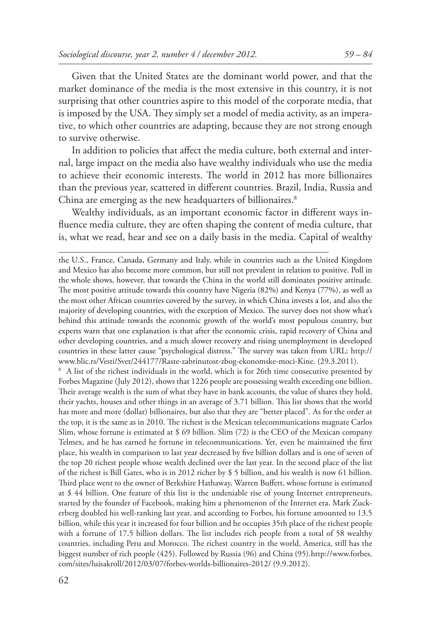Given that the United States are the dominant world power, and that the market dominance of the media is the most extensive in this country, it is not surprising that other countries aspire to this model of the corporate media, that is imposed by the USA. They simply set a model of media activity, as an imperative, to which other countries are adapting, because they are not strong enough to survive otherwise.

In addition to policies that affect the media culture, both external and internal, large impact on the media also have wealthy individuals who use the media to achieve their economic interests. The world in 2012 has more billionaires than the previous year, scattered in different countries. Brazil, India, Russia and China are emerging as the new headquarters of billionaires.<sup>8</sup>

Wealthy individuals, as an important economic factor in different ways influence media culture, they are often shaping the content of media culture, that is, what we read, hear and see on a daily basis in the media. Capital of wealthy

the U.S., France, Canada, Germany and Italy, while in countries such as the United Kingdom and Mexico has also become more common, but still not prevalent in relation to positive. Poll in the whole shows, however, that towards the China in the world still dominates positive attitude. The most positive attitude towards this country have Nigeria (82%) and Kenya (77%), as well as the most other African countries covered by the survey, in which China invests a lot, and also the majority of developing countries, with the exception of Mexico. The survey does not show what's behind this attitude towards the economic growth of the world's most populous country, but experts warn that one explanation is that after the economic crisis, rapid recovery of China and other developing countries, and a much slower recovery and rising unemployment in developed countries in these latter cause "psychological distress." The survey was taken from URL: http:// www.blic.rs/Vesti/Svet/244177/Raste-zabrinutost-zbog-ekonomske-moci-Kine. (29.3.2011). <sup>8</sup> A list of the richest individuals in the world, which is for 26th time consecutive presented by Forbes Magazine (July 2012), shows that 1226 people are possessing wealth exceeding one billion. Their average wealth is the sum of what they have in bank accounts, the value of shares they hold, their yachts, houses and other things in an average of 3.71 billion. This list shows that the world has more and more (dollar) billionaires, but also that they are "better placed". As for the order at the top, it is the same as in 2010. The richest is the Mexican telecommunications magnate Carlos Slim, whose fortune is estimated at \$ 69 billion. Slim (72) is the CEO of the Mexican company Telmex, and he has earned he fortune in telecommunications. Yet, even he maintained the first place, his wealth in comparison to last year decreased by five billion dollars and is one of seven of the top 20 richest people whose wealth declined over the last year. In the second place of the list of the richest is Bill Gates, who is in 2012 richer by \$ 5 billion, and his wealth is now 61 billion. Third place went to the owner of Berkshire Hathaway, Warren Buffett, whose fortune is estimated at \$ 44 billion. One feature of this list is the undeniable rise of young Internet entrepreneurs, started by the founder of Facebook, making him a phenomenon of the Internet era. Mark Zuckerberg doubled his well-ranking last year, and according to Forbes, his fortune amounted to 13.5 billion, while this year it increased for four billion and he occupies 35th place of the richest people with a fortune of 17.5 billion dollars. The list includes rich people from a total of 58 wealthy

countries, including Peru and Morocco. The richest country in the world, America, still has the biggest number of rich people (425). Followed by Russia (96) and China (95).http://www.forbes. com/sites/luisakroll/2012/03/07/forbes-worlds-billionaires-2012/ (9.9.2012).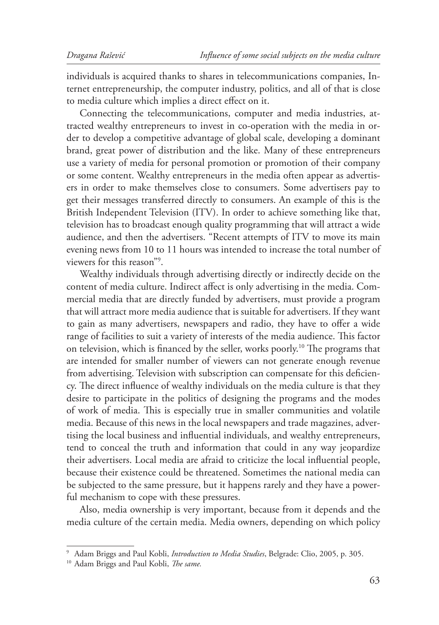individuals is acquired thanks to shares in telecommunications companies, Internet entrepreneurship, the computer industry, politics, and all of that is close to media culture which implies a direct effect on it.

Connecting the telecommunications, computer and media industries, attracted wealthy entrepreneurs to invest in co-operation with the media in order to develop a competitive advantage of global scale, developing a dominant brand, great power of distribution and the like. Many of these entrepreneurs use a variety of media for personal promotion or promotion of their company or some content. Wealthy entrepreneurs in the media often appear as advertisers in order to make themselves close to consumers. Some advertisers pay to get their messages transferred directly to consumers. An example of this is the British Independent Television (ITV). In order to achieve something like that, television has to broadcast enough quality programming that will attract a wide audience, and then the advertisers. "Recent attempts of ITV to move its main evening news from 10 to 11 hours was intended to increase the total number of viewers for this reason"9 .

Wealthy individuals through advertising directly or indirectly decide on the content of media culture. Indirect affect is only advertising in the media. Commercial media that are directly funded by advertisers, must provide a program that will attract more media audience that is suitable for advertisers. If they want to gain as many advertisers, newspapers and radio, they have to offer a wide range of facilities to suit a variety of interests of the media audience. This factor on television, which is financed by the seller, works poorly.<sup>10</sup> The programs that are intended for smaller number of viewers can not generate enough revenue from advertising. Television with subscription can compensate for this deficiency. The direct influence of wealthy individuals on the media culture is that they desire to participate in the politics of designing the programs and the modes of work of media. This is especially true in smaller communities and volatile media. Because of this news in the local newspapers and trade magazines, advertising the local business and influential individuals, and wealthy entrepreneurs, tend to conceal the truth and information that could in any way jeopardize their advertisers. Local media are afraid to criticize the local influential people, because their existence could be threatened. Sometimes the national media can be subjected to the same pressure, but it happens rarely and they have a powerful mechanism to cope with these pressures.

Also, media ownership is very important, because from it depends and the media culture of the certain media. Media owners, depending on which policy

<sup>9</sup> Adam Briggs and Paul Kobli, *Introduction to Media Studies*, Belgrade: Clio, 2005, p. 305.

<sup>&</sup>lt;sup>10</sup> Adam Briggs and Paul Kobli, *The same*.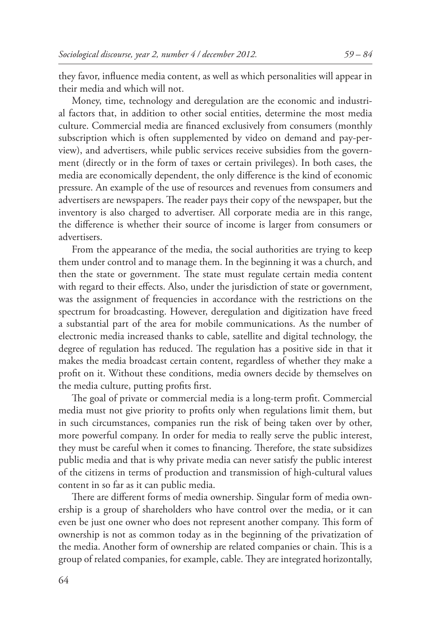they favor, influence media content, as well as which personalities will appear in their media and which will not.

Money, time, technology and deregulation are the economic and industrial factors that, in addition to other social entities, determine the most media culture. Commercial media are financed exclusively from consumers (monthly subscription which is often supplemented by video on demand and pay-perview), and advertisers, while public services receive subsidies from the government (directly or in the form of taxes or certain privileges). In both cases, the media are economically dependent, the only difference is the kind of economic pressure. An example of the use of resources and revenues from consumers and advertisers are newspapers. The reader pays their copy of the newspaper, but the inventory is also charged to advertiser. All corporate media are in this range, the difference is whether their source of income is larger from consumers or advertisers.

From the appearance of the media, the social authorities are trying to keep them under control and to manage them. In the beginning it was a church, and then the state or government. The state must regulate certain media content with regard to their effects. Also, under the jurisdiction of state or government, was the assignment of frequencies in accordance with the restrictions on the spectrum for broadcasting. However, deregulation and digitization have freed a substantial part of the area for mobile communications. As the number of electronic media increased thanks to cable, satellite and digital technology, the degree of regulation has reduced. The regulation has a positive side in that it makes the media broadcast certain content, regardless of whether they make a profit on it. Without these conditions, media owners decide by themselves on the media culture, putting profits first.

The goal of private or commercial media is a long-term profit. Commercial media must not give priority to profits only when regulations limit them, but in such circumstances, companies run the risk of being taken over by other, more powerful company. In order for media to really serve the public interest, they must be careful when it comes to financing. Therefore, the state subsidizes public media and that is why private media can never satisfy the public interest of the citizens in terms of production and transmission of high-cultural values content in so far as it can public media.

There are different forms of media ownership. Singular form of media ownership is a group of shareholders who have control over the media, or it can even be just one owner who does not represent another company. This form of ownership is not as common today as in the beginning of the privatization of the media. Another form of ownership are related companies or chain. This is a group of related companies, for example, cable. They are integrated horizontally,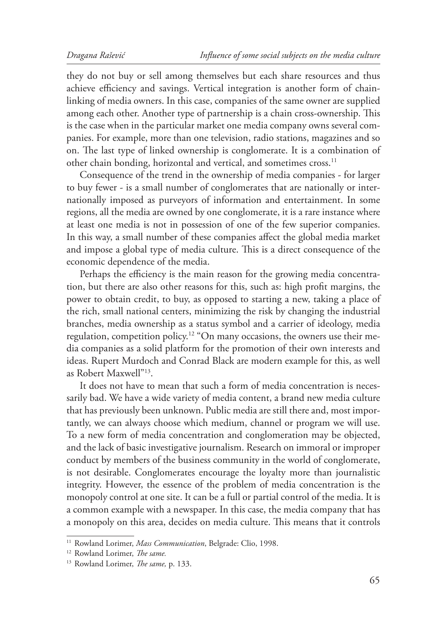they do not buy or sell among themselves but each share resources and thus achieve efficiency and savings. Vertical integration is another form of chainlinking of media owners. In this case, companies of the same owner are supplied among each other. Another type of partnership is a chain cross-ownership. This is the case when in the particular market one media company owns several companies. For example, more than one television, radio stations, magazines and so on. The last type of linked ownership is conglomerate. It is a combination of other chain bonding, horizontal and vertical, and sometimes cross.<sup>11</sup>

Consequence of the trend in the ownership of media companies - for larger to buy fewer - is a small number of conglomerates that are nationally or internationally imposed as purveyors of information and entertainment. In some regions, all the media are owned by one conglomerate, it is a rare instance where at least one media is not in possession of one of the few superior companies. In this way, a small number of these companies affect the global media market and impose a global type of media culture. This is a direct consequence of the economic dependence of the media.

Perhaps the efficiency is the main reason for the growing media concentration, but there are also other reasons for this, such as: high profit margins, the power to obtain credit, to buy, as opposed to starting a new, taking a place of the rich, small national centers, minimizing the risk by changing the industrial branches, media ownership as a status symbol and a carrier of ideology, media regulation, competition policy.<sup>12</sup> "On many occasions, the owners use their media companies as a solid platform for the promotion of their own interests and ideas. Rupert Murdoch and Conrad Black are modern example for this, as well as Robert Maxwell"13.

It does not have to mean that such a form of media concentration is necessarily bad. We have a wide variety of media content, a brand new media culture that has previously been unknown. Public media are still there and, most importantly, we can always choose which medium, channel or program we will use. To a new form of media concentration and conglomeration may be objected, and the lack of basic investigative journalism. Research on immoral or improper conduct by members of the business community in the world of conglomerate, is not desirable. Conglomerates encourage the loyalty more than journalistic integrity. However, the essence of the problem of media concentration is the monopoly control at one site. It can be a full or partial control of the media. It is a common example with a newspaper. In this case, the media company that has a monopoly on this area, decides on media culture. This means that it controls

<sup>&</sup>lt;sup>11</sup> Rowland Lorimer, *Mass Communication*, Belgrade: Clio, 1998.

<sup>&</sup>lt;sup>12</sup> Rowland Lorimer, *The same*.

<sup>&</sup>lt;sup>13</sup> Rowland Lorimer, *The same*, p. 133.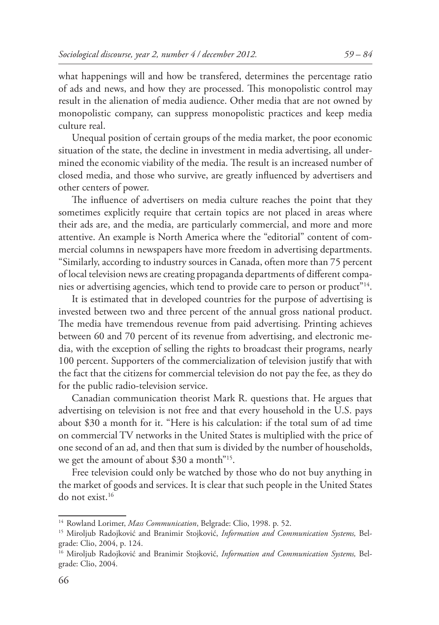what happenings will and how be transfered, determines the percentage ratio of ads and news, and how they are processed. This monopolistic control may result in the alienation of media audience. Other media that are not owned by monopolistic company, can suppress monopolistic practices and keep media culture real.

Unequal position of certain groups of the media market, the poor economic situation of the state, the decline in investment in media advertising, all undermined the economic viability of the media. The result is an increased number of closed media, and those who survive, are greatly influenced by advertisers and other centers of power.

The influence of advertisers on media culture reaches the point that they sometimes explicitly require that certain topics are not placed in areas where their ads are, and the media, are particularly commercial, and more and more attentive. An example is North America where the "editorial" content of commercial columns in newspapers have more freedom in advertising departments. "Similarly, according to industry sources in Canada, often more than 75 percent of local television news are creating propaganda departments of different companies or advertising agencies, which tend to provide care to person or product<sup>"14</sup>.

It is estimated that in developed countries for the purpose of advertising is invested between two and three percent of the annual gross national product. The media have tremendous revenue from paid advertising. Printing achieves between 60 and 70 percent of its revenue from advertising, and electronic media, with the exception of selling the rights to broadcast their programs, nearly 100 percent. Supporters of the commercialization of television justify that with the fact that the citizens for commercial television do not pay the fee, as they do for the public radio-television service.

Canadian communication theorist Mark R. questions that. He argues that advertising on television is not free and that every household in the U.S. pays about \$30 a month for it. "Here is his calculation: if the total sum of ad time on commercial TV networks in the United States is multiplied with the price of one second of an ad, and then that sum is divided by the number of households, we get the amount of about \$30 a month"15.

Free television could only be watched by those who do not buy anything in the market of goods and services. It is clear that such people in the United States do not exist.<sup>16</sup>

<sup>&</sup>lt;sup>14</sup> Rowland Lorimer, *Mass Communication*, Belgrade: Clio, 1998. p. 52.

<sup>15</sup> Miroljub Radojković and Branimir Stojković, *Information and Communication Systems,* Belgrade: Clio, 2004, p. 124.

<sup>16</sup> Miroljub Radojković and Branimir Stojković, *Information and Communication Systems,* Belgrade: Clio, 2004.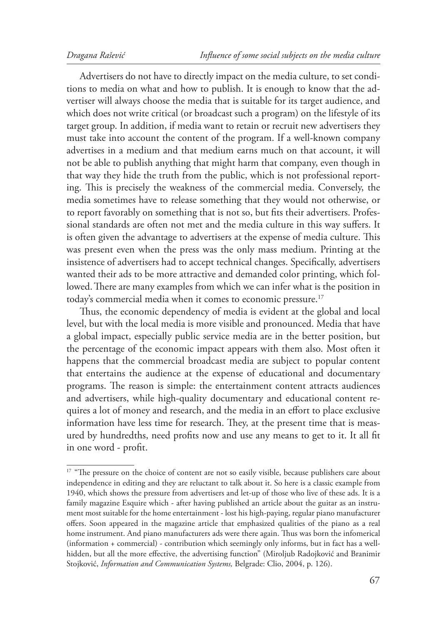Advertisers do not have to directly impact on the media culture, to set conditions to media on what and how to publish. It is enough to know that the advertiser will always choose the media that is suitable for its target audience, and which does not write critical (or broadcast such a program) on the lifestyle of its target group. In addition, if media want to retain or recruit new advertisers they must take into account the content of the program. If a well-known company advertises in a medium and that medium earns much on that account, it will not be able to publish anything that might harm that company, even though in that way they hide the truth from the public, which is not professional reporting. This is precisely the weakness of the commercial media. Conversely, the media sometimes have to release something that they would not otherwise, or to report favorably on something that is not so, but fits their advertisers. Professional standards are often not met and the media culture in this way suffers. It is often given the advantage to advertisers at the expense of media culture. This was present even when the press was the only mass medium. Printing at the insistence of advertisers had to accept technical changes. Specifically, advertisers wanted their ads to be more attractive and demanded color printing, which followed. There are many examples from which we can infer what is the position in today's commercial media when it comes to economic pressure.<sup>17</sup>

Thus, the economic dependency of media is evident at the global and local level, but with the local media is more visible and pronounced. Media that have a global impact, especially public service media are in the better position, but the percentage of the economic impact appears with them also. Most often it happens that the commercial broadcast media are subject to popular content that entertains the audience at the expense of educational and documentary programs. The reason is simple: the entertainment content attracts audiences and advertisers, while high-quality documentary and educational content requires a lot of money and research, and the media in an effort to place exclusive information have less time for research. They, at the present time that is measured by hundredths, need profits now and use any means to get to it. It all fit in one word - profit.

<sup>&</sup>lt;sup>17</sup> "The pressure on the choice of content are not so easily visible, because publishers care about independence in editing and they are reluctant to talk about it. So here is a classic example from 1940, which shows the pressure from advertisers and let-up of those who live of these ads. It is a family magazine Esquire which - after having published an article about the guitar as an instrument most suitable for the home entertainment - lost his high-paying, regular piano manufacturer offers. Soon appeared in the magazine article that emphasized qualities of the piano as a real home instrument. And piano manufacturers ads were there again. Thus was born the infomerical (information + commercial) - contribution which seemingly only informs, but in fact has a wellhidden, but all the more effective, the advertising function" (Miroljub Radojković and Branimir Stojković, *Information and Communication Systems,* Belgrade: Clio, 2004, p. 126).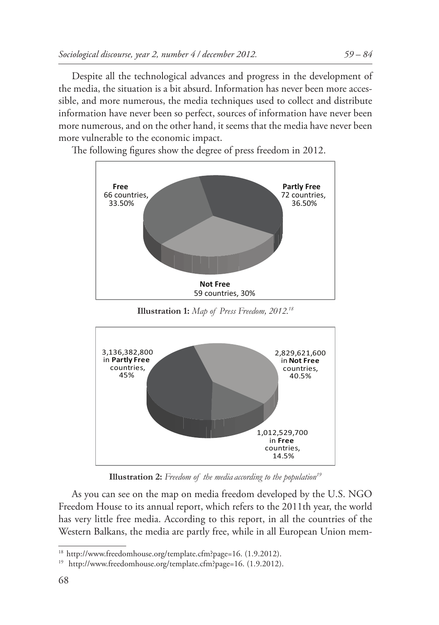Despite all the technological advances and progress in the development of the media, the situation is a bit absurd. Information has never been more accessible, and more numerous, the media techniques used to collect and distribute information have never been so perfect, sources of information have never been more numerous, and on the other hand, it seems that the media have never been more vulnerable to the economic impact.

The following figures show the degree of press freedom in 2012.



**Illustration 1:** *Map of Press Freedom, 2012.18*



**Illustration 2:** *Freedom of the media according to the population19*

As you can see on the map on media freedom developed by the U.S. NGO Freedom House to its annual report, which refers to the 2011th year, the world has very little free media. According to this report, in all the countries of the Western Balkans, the media are partly free, while in all European Union mem-

<sup>&</sup>lt;sup>18</sup> http://www.freedomhouse.org/template.cfm?page=16. (1.9.2012).

<sup>19</sup> http://www.freedomhouse.org/template.cfm?page=16. (1.9.2012).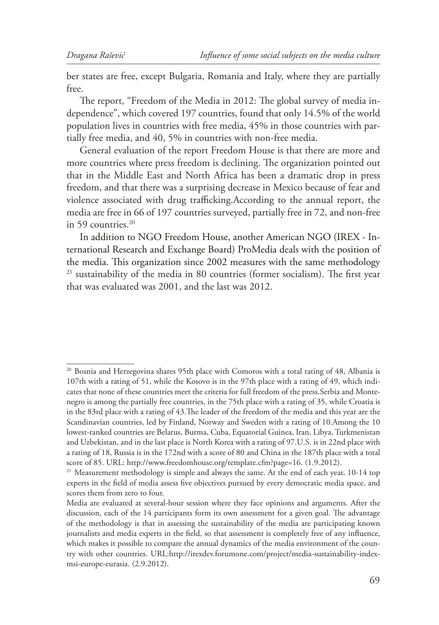ber states are free, except Bulgaria, Romania and Italy, where they are partially free.

The report, "Freedom of the Media in 2012: The global survey of media independence", which covered 197 countries, found that only 14.5% of the world population lives in countries with free media, 45% in those countries with partially free media, and 40, 5% in countries with non-free media.

General evaluation of the report Freedom House is that there are more and more countries where press freedom is declining. The organization pointed out that in the Middle East and North Africa has been a dramatic drop in press freedom, and that there was a surprising decrease in Mexico because of fear and violence associated with drug trafficking.According to the annual report, the media are free in 66 of 197 countries surveyed, partially free in 72, and non-free in 59 countries.<sup>20</sup>

In addition to NGO Freedom House, another American NGO (IREX - International Research and Exchange Board) ProMedia deals with the position of the media. This organization since 2002 measures with the same methodology <sup>21</sup> sustainability of the media in 80 countries (former socialism). The first year that was evaluated was 2001, and the last was 2012.

 $20$  Bosnia and Herzegovina shares 95th place with Comoros with a total rating of 48, Albania is 107th with a rating of 51, while the Kosovo is in the 97th place with a rating of 49, which indicates that none of these countries meet the criteria for full freedom of the press.Serbia and Montenegro is among the partially free countries, in the 75th place with a rating of 35, while Croatia is in the 83rd place with a rating of 43. The leader of the freedom of the media and this year are the Scandinavian countries, led by Finland, Norway and Sweden with a rating of 10.Among the 10 lowest-ranked countries are Belarus, Burma, Cuba, Equatorial Guinea, Iran, Libya, Turkmenistan and Uzbekistan, and in the last place is North Korea with a rating of 97.U.S. is in 22nd place with a rating of 18, Russia is in the 172nd with a score of 80 and China in the 187th place with a total score of 85. URL: http://www.freedomhouse.org/template.cfm?page=16. (1.9.2012).

<sup>&</sup>lt;sup>21</sup> Measurement methodology is simple and always the same. At the end of each year,  $10-14$  top experts in the field of media assess five objectives pursued by every democratic media space, and scores them from zero to four.

Media are evaluated at several-hour session where they face opinions and arguments. After the discussion, each of the 14 participants form its own assessment for a given goal. The advantage of the methodology is that in assessing the sustainability of the media are participating known journalists and media experts in the field, so that assessment is completely free of any influence, which makes it possible to compare the annual dynamics of the media environment of the country with other countries. URL:http://irexdev.forumone.com/project/media-sustainability-indexmsi-europe-eurasia. (2.9.2012).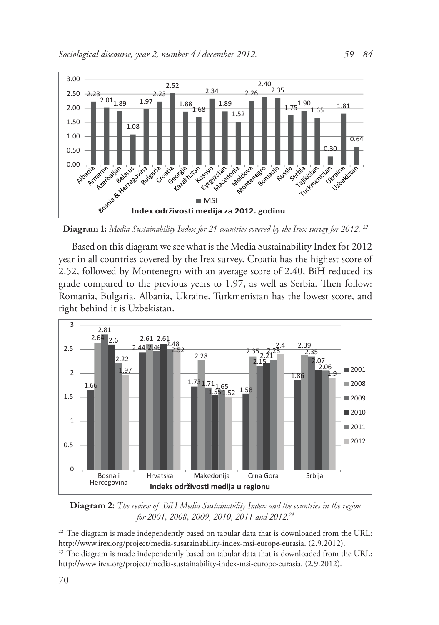

**Diagram 1:** *Media Sustainability Index for 21 countries covered by the Irex survey for 2012. 22*

Based on this diagram we see what is the Media Sustainability Index for 2012 year in all countries covered by the Irex survey. Croatia has the highest score of 2.52, followed by Montenegro with an average score of 2.40, BiH reduced its grade compared to the previous years to 1.97, as well as Serbia. Then follow: Romania, Bulgaria, Albania, Ukraine. Turkmenistan has the lowest score, and right behind it is Uzbekistan.



**Diagram 2:** *The review of BiH Media Sustainability Index and the countries in the region for 2001, 2008, 2009, 2010, 2011 and 2012.23*

 $22$  The diagram is made independently based on tabular data that is downloaded from the URL: http://www.irex.org/project/media-susatainability-index-msi-europe-eurasia. (2.9.2012).

<sup>&</sup>lt;sup>23</sup> The diagram is made independently based on tabular data that is downloaded from the URL: http://www.irex.org/project/media-sustainability-index-msi-europe-eurasia. (2.9.2012).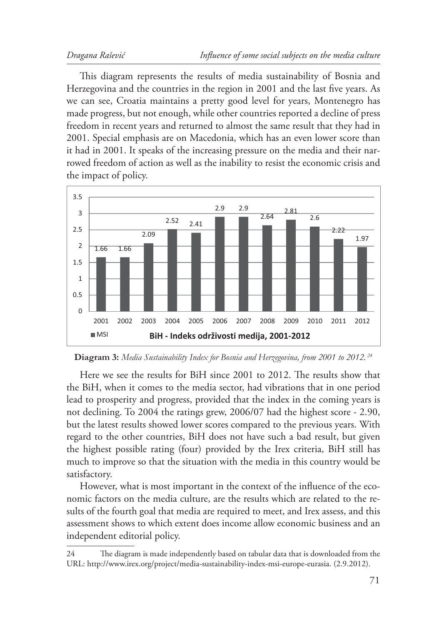This diagram represents the results of media sustainability of Bosnia and Herzegovina and the countries in the region in 2001 and the last five years. As we can see, Croatia maintains a pretty good level for years, Montenegro has made progress, but not enough, while other countries reported a decline of press freedom in recent years and returned to almost the same result that they had in 2001. Special emphasis are on Macedonia, which has an even lower score than it had in 2001. It speaks of the increasing pressure on the media and their narrowed freedom of action as well as the inability to resist the economic crisis and the impact of policy.



**Diagram 3:** *Media Sustainability Index for Bosnia and Herzegovina, from 2001 to 2012. <sup>24</sup>*

Here we see the results for BiH since 2001 to 2012. The results show that the BiH, when it comes to the media sector, had vibrations that in one period lead to prosperity and progress, provided that the index in the coming years is not declining. To 2004 the ratings grew, 2006/07 had the highest score - 2.90, but the latest results showed lower scores compared to the previous years. With regard to the other countries, BiH does not have such a bad result, but given the highest possible rating (four) provided by the Irex criteria, BiH still has much to improve so that the situation with the media in this country would be satisfactory.

However, what is most important in the context of the influence of the economic factors on the media culture, are the results which are related to the results of the fourth goal that media are required to meet, and Irex assess, and this assessment shows to which extent does income allow economic business and an independent editorial policy.

<sup>24</sup> The diagram is made independently based on tabular data that is downloaded from the URL: http://www.irex.org/project/media-sustainability-index-msi-europe-eurasia. (2.9.2012).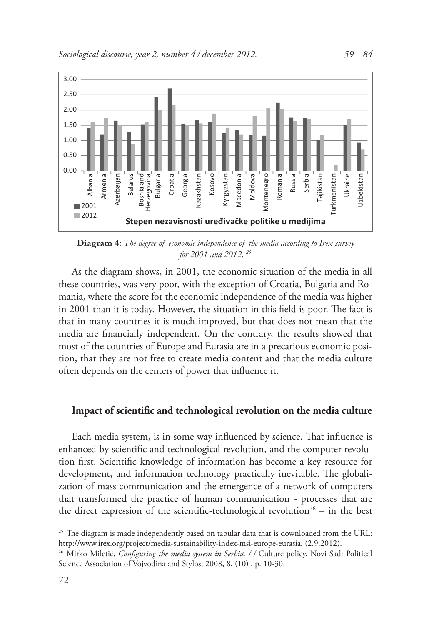

**Diagram 4:** *The degree of economic independence of the media according to Irex survey for 2001 and 2012. 25*

As the diagram shows, in 2001, the economic situation of the media in all these countries, was very poor, with the exception of Croatia, Bulgaria and Romania, where the score for the economic independence of the media was higher in 2001 than it is today. However, the situation in this field is poor. The fact is that in many countries it is much improved, but that does not mean that the media are financially independent. On the contrary, the results showed that most of the countries of Europe and Eurasia are in a precarious economic position, that they are not free to create media content and that the media culture often depends on the centers of power that influence it.

## Impact of scientific and technological revolution on the media culture

Each media system, is in some way influenced by science. That influence is enhanced by scientific and technological revolution, and the computer revolution first. Scientific knowledge of information has become a key resource for development, and information technology practically inevitable. The globalization of mass communication and the emergence of a network of computers that transformed the practice of human communication - processes that are the direct expression of the scientific-technological revolution<sup>26</sup> – in the best

 $25$  The diagram is made independently based on tabular data that is downloaded from the URL: http://www.irex.org/project/media-sustainability-index-msi-europe-eurasia. (2.9.2012).

<sup>&</sup>lt;sup>26</sup> Mirko Miletić, *Configuring the media system in Serbia.* // Culture policy, Novi Sad: Political Science Association of Vojvodina and Stylos, 2008, 8, (10) , p. 10-30.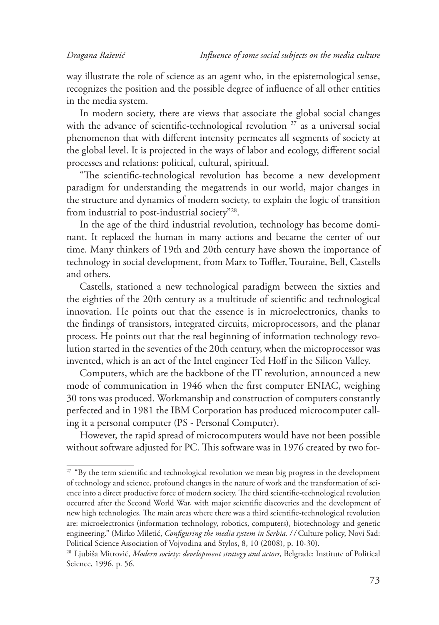way illustrate the role of science as an agent who, in the epistemological sense, recognizes the position and the possible degree of influence of all other entities in the media system.

In modern society, there are views that associate the global social changes with the advance of scientific-technological revolution  $27$  as a universal social phenomenon that with different intensity permeates all segments of society at the global level. It is projected in the ways of labor and ecology, different social processes and relations: political, cultural, spiritual.

"The scientific-technological revolution has become a new development paradigm for understanding the megatrends in our world, major changes in the structure and dynamics of modern society, to explain the logic of transition from industrial to post-industrial society"28.

In the age of the third industrial revolution, technology has become dominant. It replaced the human in many actions and became the center of our time. Many thinkers of 19th and 20th century have shown the importance of technology in social development, from Marx to Toffler, Touraine, Bell, Castells and others.

Castells, stationed a new technological paradigm between the sixties and the eighties of the 20th century as a multitude of scientific and technological innovation. He points out that the essence is in microelectronics, thanks to the findings of transistors, integrated circuits, microprocessors, and the planar process. He points out that the real beginning of information technology revolution started in the seventies of the 20th century, when the microprocessor was invented, which is an act of the Intel engineer Ted Hoff in the Silicon Valley.

Computers, which are the backbone of the IT revolution, announced a new mode of communication in 1946 when the first computer ENIAC, weighing 30 tons was produced. Workmanship and construction of computers constantly perfected and in 1981 the IBM Corporation has produced microcomputer calling it a personal computer (PS - Personal Computer).

However, the rapid spread of microcomputers would have not been possible without software adjusted for PC. This software was in 1976 created by two for-

<sup>&</sup>lt;sup>27</sup> "By the term scientific and technological revolution we mean big progress in the development of technology and science, profound changes in the nature of work and the transformation of science into a direct productive force of modern society. The third scientific-technological revolution occurred after the Second World War, with major scientific discoveries and the development of new high technologies. The main areas where there was a third scientific-technological revolution are: microelectronics (information technology, robotics, computers), biotechnology and genetic engineering." (Mirko Miletić, *Configuring the media system in Serbia.* // Culture policy, Novi Sad: Political Science Association of Vojvodina and Stylos, 8, 10 (2008), p. 10-30).

<sup>28</sup> Ljubiša Mitrović, *Modern society: development strategy and actors,* Belgrade: Institute of Political Science, 1996, p. 56.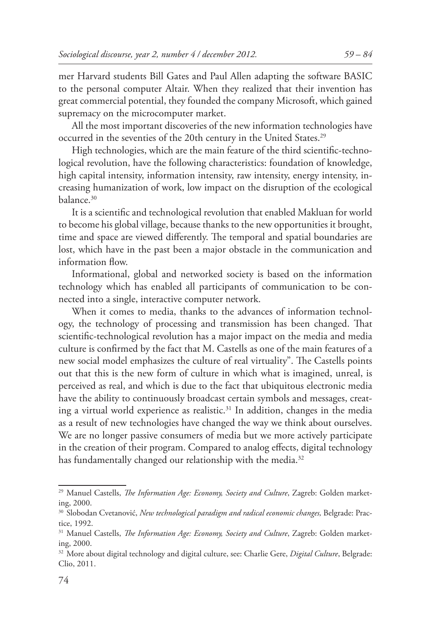mer Harvard students Bill Gates and Paul Allen adapting the software BASIC to the personal computer Altair. When they realized that their invention has great commercial potential, they founded the company Microsoft, which gained supremacy on the microcomputer market.

All the most important discoveries of the new information technologies have occurred in the seventies of the 20th century in the United States.<sup>29</sup>

High technologies, which are the main feature of the third scientific-technological revolution, have the following characteristics: foundation of knowledge, high capital intensity, information intensity, raw intensity, energy intensity, increasing humanization of work, low impact on the disruption of the ecological balance.30

It is a scientific and technological revolution that enabled Makluan for world to become his global village, because thanks to the new opportunities it brought, time and space are viewed differently. The temporal and spatial boundaries are lost, which have in the past been a major obstacle in the communication and information flow.

Informational, global and networked society is based on the information technology which has enabled all participants of communication to be connected into a single, interactive computer network.

When it comes to media, thanks to the advances of information technology, the technology of processing and transmission has been changed. That scientific-technological revolution has a major impact on the media and media culture is confirmed by the fact that M. Castells as one of the main features of a new social model emphasizes the culture of real virtuality". The Castells points out that this is the new form of culture in which what is imagined, unreal, is perceived as real, and which is due to the fact that ubiquitous electronic media have the ability to continuously broadcast certain symbols and messages, creating a virtual world experience as realistic.<sup>31</sup> In addition, changes in the media as a result of new technologies have changed the way we think about ourselves. We are no longer passive consumers of media but we more actively participate in the creation of their program. Compared to analog effects, digital technology has fundamentally changed our relationship with the media.<sup>32</sup>

<sup>&</sup>lt;sup>29</sup> Manuel Castells, *The Information Age: Economy, Society and Culture*, Zagreb: Golden marketing, 2000.

<sup>30</sup> Slobodan Cvetanović, *New technological paradigm and radical economic changes,* Belgrade: Practice, 1992.

<sup>&</sup>lt;sup>31</sup> Manuel Castells, *The Information Age: Economy, Society and Culture*, Zagreb: Golden marketing, 2000.

<sup>32</sup> More about digital technology and digital culture, see: Charlie Gere, *Digital Culture*, Belgrade: Clio, 2011.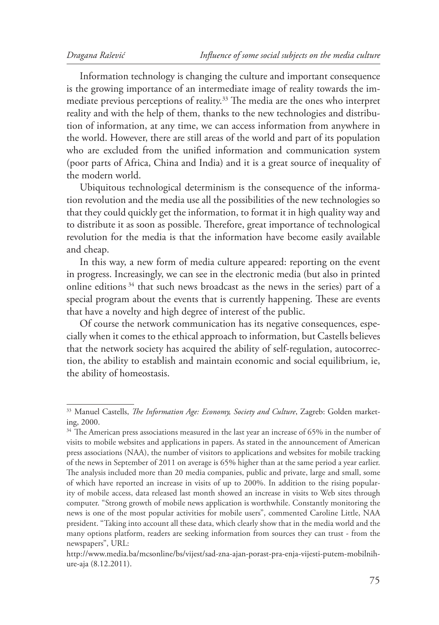Information technology is changing the culture and important consequence is the growing importance of an intermediate image of reality towards the immediate previous perceptions of reality.<sup>33</sup> The media are the ones who interpret reality and with the help of them, thanks to the new technologies and distribution of information, at any time, we can access information from anywhere in the world. However, there are still areas of the world and part of its population who are excluded from the unified information and communication system (poor parts of Africa, China and India) and it is a great source of inequality of the modern world.

Ubiquitous technological determinism is the consequence of the information revolution and the media use all the possibilities of the new technologies so that they could quickly get the information, to format it in high quality way and to distribute it as soon as possible. Therefore, great importance of technological revolution for the media is that the information have become easily available and cheap.

In this way, a new form of media culture appeared: reporting on the event in progress. Increasingly, we can see in the electronic media (but also in printed online editions  $34$  that such news broadcast as the news in the series) part of a special program about the events that is currently happening. These are events that have a novelty and high degree of interest of the public.

Of course the network communication has its negative consequences, especially when it comes to the ethical approach to information, but Castells believes that the network society has acquired the ability of self-regulation, autocorrection, the ability to establish and maintain economic and social equilibrium, ie, the ability of homeostasis.

<sup>&</sup>lt;sup>33</sup> Manuel Castells, *The Information Age: Economy, Society and Culture*, Zagreb: Golden marketing, 2000.

 $34$  The American press associations measured in the last year an increase of 65% in the number of visits to mobile websites and applications in papers. As stated in the announcement of American press associations (NAA), the number of visitors to applications and websites for mobile tracking of the news in September of 2011 on average is 65% higher than at the same period a year earlier. The analysis included more than 20 media companies, public and private, large and small, some of which have reported an increase in visits of up to 200%. In addition to the rising popularity of mobile access, data released last month showed an increase in visits to Web sites through computer. "Strong growth of mobile news application is worthwhile. Constantly monitoring the news is one of the most popular activities for mobile users", commented Caroline Little, NAA president. "Taking into account all these data, which clearly show that in the media world and the many options platform, readers are seeking information from sources they can trust - from the newspapers", URL:

http://www.media.ba/mcsonline/bs/vijest/sad-zna-ajan-porast-pra-enja-vijesti-putem-mobilnihure-aja (8.12.2011).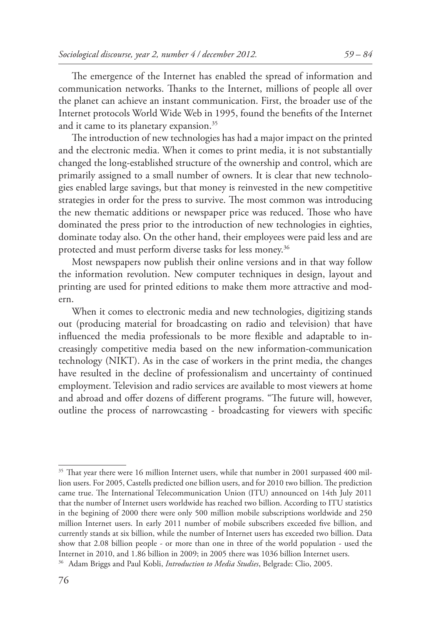The emergence of the Internet has enabled the spread of information and communication networks. Thanks to the Internet, millions of people all over the planet can achieve an instant communication. First, the broader use of the Internet protocols World Wide Web in 1995, found the benefits of the Internet and it came to its planetary expansion.<sup>35</sup>

The introduction of new technologies has had a major impact on the printed and the electronic media. When it comes to print media, it is not substantially changed the long-established structure of the ownership and control, which are primarily assigned to a small number of owners. It is clear that new technologies enabled large savings, but that money is reinvested in the new competitive strategies in order for the press to survive. The most common was introducing the new thematic additions or newspaper price was reduced. Those who have dominated the press prior to the introduction of new technologies in eighties, dominate today also. On the other hand, their employees were paid less and are protected and must perform diverse tasks for less money.36

Most newspapers now publish their online versions and in that way follow the information revolution. New computer techniques in design, layout and printing are used for printed editions to make them more attractive and modern.

When it comes to electronic media and new technologies, digitizing stands out (producing material for broadcasting on radio and television) that have influenced the media professionals to be more flexible and adaptable to increasingly competitive media based on the new information-communication technology (NIKT). As in the case of workers in the print media, the changes have resulted in the decline of professionalism and uncertainty of continued employment. Television and radio services are available to most viewers at home and abroad and offer dozens of different programs. "The future will, however, outline the process of narrowcasting - broadcasting for viewers with specific

 $35$  That year there were 16 million Internet users, while that number in 2001 surpassed 400 million users. For 2005, Castells predicted one billion users, and for 2010 two billion. The prediction came true. The International Telecommunication Union (ITU) announced on 14th July 2011 that the number of Internet users worldwide has reached two billion. According to ITU statistics in the begining of 2000 there were only 500 million mobile subscriptions worldwide and 250 million Internet users. In early 2011 number of mobile subscribers exceeded five billion, and currently stands at six billion, while the number of Internet users has exceeded two billion. Data show that 2.08 billion people - or more than one in three of the world population - used the Internet in 2010, and 1.86 billion in 2009; in 2005 there was 1036 billion Internet users.

<sup>36</sup> Adam Briggs and Paul Kobli, *Introduction to Media Studies*, Belgrade: Clio, 2005.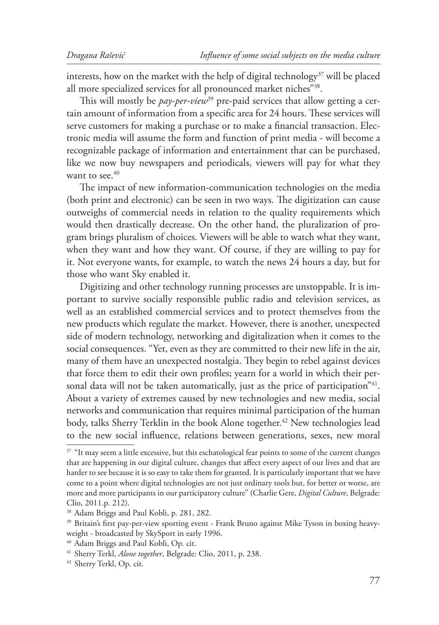interests, how on the market with the help of digital technology<sup>37</sup> will be placed all more specialized services for all pronounced market niches"38.

This will mostly be *pay-per-view*<sup>39</sup> pre-paid services that allow getting a certain amount of information from a specific area for 24 hours. These services will serve customers for making a purchase or to make a financial transaction. Electronic media will assume the form and function of print media - will become a recognizable package of information and entertainment that can be purchased, like we now buy newspapers and periodicals, viewers will pay for what they want to see. $40$ 

The impact of new information-communication technologies on the media (both print and electronic) can be seen in two ways. The digitization can cause outweighs of commercial needs in relation to the quality requirements which would then drastically decrease. On the other hand, the pluralization of program brings pluralism of choices. Viewers will be able to watch what they want, when they want and how they want. Of course, if they are willing to pay for it. Not everyone wants, for example, to watch the news 24 hours a day, but for those who want Sky enabled it.

Digitizing and other technology running processes are unstoppable. It is important to survive socially responsible public radio and television services, as well as an established commercial services and to protect themselves from the new products which regulate the market. However, there is another, unexpected side of modern technology, networking and digitalization when it comes to the social consequences. "Yet, even as they are committed to their new life in the air, many of them have an unexpected nostalgia. They begin to rebel against devices that force them to edit their own profiles; yearn for a world in which their personal data will not be taken automatically, just as the price of participation<sup>"41</sup>. About a variety of extremes caused by new technologies and new media, social networks and communication that requires minimal participation of the human body, talks Sherry Terklin in the book Alone together.<sup>42</sup> New technologies lead to the new social influence, relations between generations, sexes, new moral

<sup>&</sup>lt;sup>37</sup> "It may seem a little excessive, but this eschatological fear points to some of the current changes that are happening in our digital culture, changes that affect every aspect of our lives and that are harder to see because it is so easy to take them for granted. It is particularly important that we have come to a point where digital technologies are not just ordinary tools but, for better or worse, are more and more participants in our participatory culture" (Charlie Gere, *Digital Culture*, Belgrade: Clio, 2011.p. 212).

<sup>38</sup> Adam Briggs and Paul Kobli, p. 281, 282.

<sup>&</sup>lt;sup>39</sup> Britain's first pay-per-view sporting event - Frank Bruno against Mike Tyson in boxing heavyweight - broadcasted by SkySport in early 1996.

<sup>40</sup> Adam Briggs and Paul Kobli, Op. cit.

<sup>41</sup> Sherry Terkl, *Alone together*, Belgrade: Clio, 2011, p. 238.

<sup>42</sup> Sherry Terkl, Op. cit.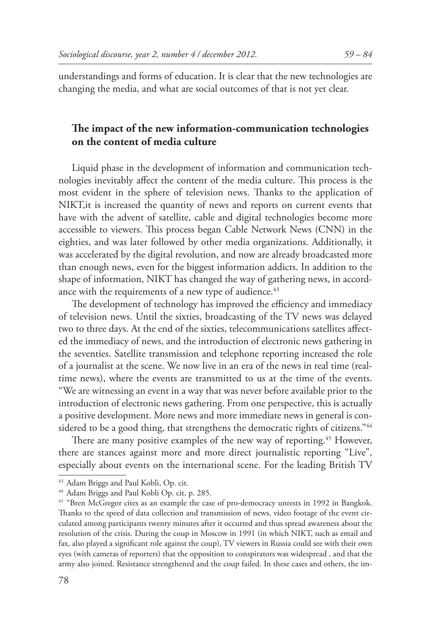## The impact of the new information-communication technologies **on the content of media culture**

Liquid phase in the development of information and communication technologies inevitably affect the content of the media culture. This process is the most evident in the sphere of television news. Thanks to the application of NIKT,it is increased the quantity of news and reports on current events that have with the advent of satellite, cable and digital technologies become more accessible to viewers. This process began Cable Network News (CNN) in the eighties, and was later followed by other media organizations. Additionally, it was accelerated by the digital revolution, and now are already broadcasted more than enough news, even for the biggest information addicts. In addition to the shape of information, NIKT has changed the way of gathering news, in accordance with the requirements of a new type of audience.<sup>43</sup>

The development of technology has improved the efficiency and immediacy of television news. Until the sixties, broadcasting of the TV news was delayed two to three days. At the end of the sixties, telecommunications satellites affected the immediacy of news, and the introduction of electronic news gathering in the seventies. Satellite transmission and telephone reporting increased the role of a journalist at the scene. We now live in an era of the news in real time (realtime news), where the events are transmitted to us at the time of the events. "We are witnessing an event in a way that was never before available prior to the introduction of electronic news gathering. From one perspective, this is actually a positive development. More news and more immediate news in general is considered to be a good thing, that strengthens the democratic rights of citizens."<sup>44</sup>

There are many positive examples of the new way of reporting.<sup>45</sup> However, there are stances against more and more direct journalistic reporting "Live", especially about events on the international scene. For the leading British TV

<sup>43</sup> Adam Briggs and Paul Kobli, Op. cit.

<sup>44</sup> Adam Briggs and Paul Kobli Op. cit, p. 285.

<sup>45 &</sup>quot;Bren McGregor cites as an example the case of pro-democracy unrests in 1992 in Bangkok. Thanks to the speed of data collection and transmission of news, video footage of the event circulated among participants twenty minutes after it occurred and thus spread awareness about the resolution of the crisis. During the coup in Moscow in 1991 (in which NIKT, such as email and fax, also played a significant role against the coup), TV viewers in Russia could see with their own eyes (with cameras of reporters) that the opposition to conspirators was widespread , and that the army also joined. Resistance strengthened and the coup failed. In these cases and others, the im-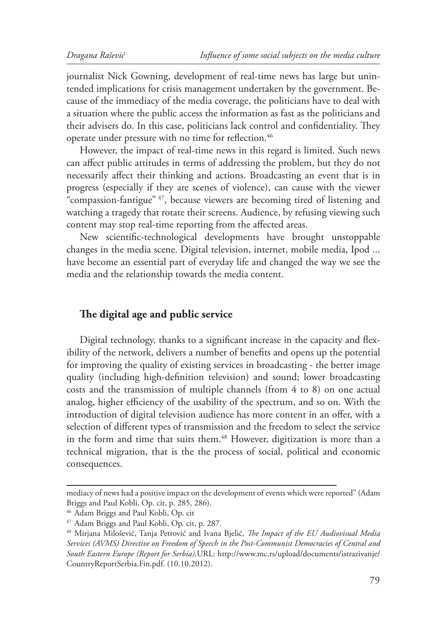journalist Nick Gowning, development of real-time news has large but unintended implications for crisis management undertaken by the government. Because of the immediacy of the media coverage, the politicians have to deal with a situation where the public access the information as fast as the politicians and their advisers do. In this case, politicians lack control and confidentiality. They operate under pressure with no time for reflection.<sup>46</sup>

However, the impact of real-time news in this regard is limited. Such news can affect public attitudes in terms of addressing the problem, but they do not necessarily affect their thinking and actions. Broadcasting an event that is in progress (especially if they are scenes of violence), can cause with the viewer "compassion-fantigue" 47, because viewers are becoming tired of listening and watching a tragedy that rotate their screens. Audience, by refusing viewing such content may stop real-time reporting from the affected areas.

New scientific-technological developments have brought unstoppable changes in the media scene. Digital television, internet, mobile media, Ipod ... have become an essential part of everyday life and changed the way we see the media and the relationship towards the media content.

#### The digital age and public service

Digital technology, thanks to a significant increase in the capacity and flexibility of the network, delivers a number of benefits and opens up the potential for improving the quality of existing services in broadcasting - the better image quality (including high-definition television) and sound; lower broadcasting costs and the transmission of multiple channels (from 4 to 8) on one actual analog, higher efficiency of the usability of the spectrum, and so on. With the introduction of digital television audience has more content in an offer, with a selection of different types of transmission and the freedom to select the service in the form and time that suits them.<sup>48</sup> However, digitization is more than a technical migration, that is the the process of social, political and economic consequences.

mediacy of news had a positive impact on the development of events which were reported" (Adam Briggs and Paul Kobli, Op. cit, p. 285, 286).

<sup>46</sup> Adam Briggs and Paul Kobli, Op. cit

<sup>47</sup> Adam Briggs and Paul Kobli, Op. cit, p. 287.

<sup>&</sup>lt;sup>48</sup> Mirjana Milošević, Tanja Petrović and Ivana Bjelić, *The Impact of the EU Audiovisual Media Services (AVMS) Directive on Freedom of Speech in the Post-Communist Democracies of Central and South Eastern Europe (Report for Serbia),*URL: http://www.mc.rs/upload/documents/istrazivanje/ CountryReportSerbia.Fin.pdf. (10.10.2012).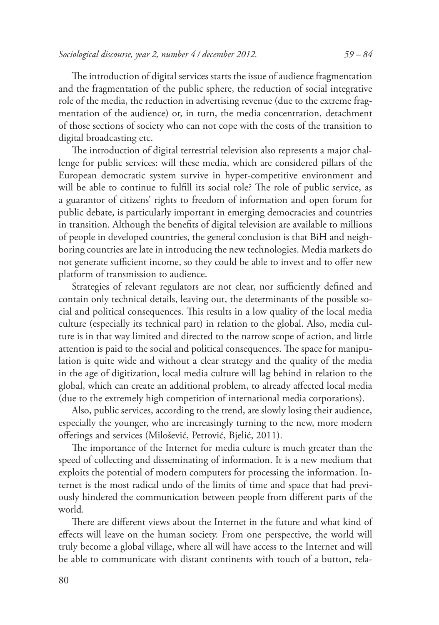The introduction of digital services starts the issue of audience fragmentation and the fragmentation of the public sphere, the reduction of social integrative role of the media, the reduction in advertising revenue (due to the extreme fragmentation of the audience) or, in turn, the media concentration, detachment of those sections of society who can not cope with the costs of the transition to digital broadcasting etc.

The introduction of digital terrestrial television also represents a major challenge for public services: will these media, which are considered pillars of the European democratic system survive in hyper-competitive environment and will be able to continue to fulfill its social role? The role of public service, as a guarantor of citizens' rights to freedom of information and open forum for public debate, is particularly important in emerging democracies and countries in transition. Although the benefits of digital television are available to millions of people in developed countries, the general conclusion is that BiH and neighboring countries are late in introducing the new technologies. Media markets do not generate sufficient income, so they could be able to invest and to offer new platform of transmission to audience.

Strategies of relevant regulators are not clear, nor sufficiently defined and contain only technical details, leaving out, the determinants of the possible social and political consequences. This results in a low quality of the local media culture (especially its technical part) in relation to the global. Also, media culture is in that way limited and directed to the narrow scope of action, and little attention is paid to the social and political consequences. The space for manipulation is quite wide and without a clear strategy and the quality of the media in the age of digitization, local media culture will lag behind in relation to the global, which can create an additional problem, to already affected local media (due to the extremely high competition of international media corporations).

Also, public services, according to the trend, are slowly losing their audience, especially the younger, who are increasingly turning to the new, more modern offerings and services (Milošević, Petrović, Bjelić, 2011).

The importance of the Internet for media culture is much greater than the speed of collecting and disseminating of information. It is a new medium that exploits the potential of modern computers for processing the information. Internet is the most radical undo of the limits of time and space that had previously hindered the communication between people from different parts of the world.

There are different views about the Internet in the future and what kind of effects will leave on the human society. From one perspective, the world will truly become a global village, where all will have access to the Internet and will be able to communicate with distant continents with touch of a button, rela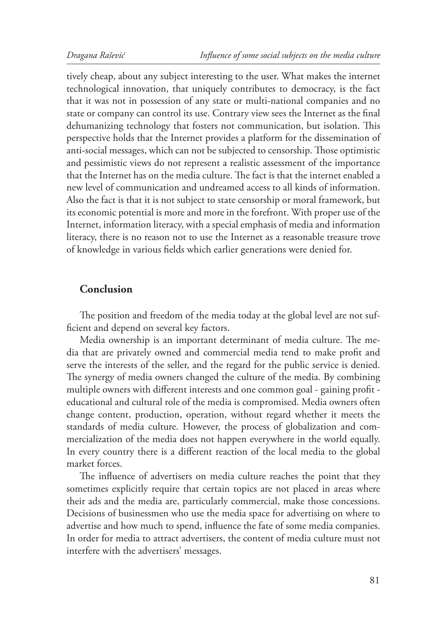tively cheap, about any subject interesting to the user. What makes the internet technological innovation, that uniquely contributes to democracy, is the fact that it was not in possession of any state or multi-national companies and no state or company can control its use. Contrary view sees the Internet as the final dehumanizing technology that fosters not communication, but isolation. This perspective holds that the Internet provides a platform for the dissemination of anti-social messages, which can not be subjected to censorship. Those optimistic and pessimistic views do not represent a realistic assessment of the importance that the Internet has on the media culture. The fact is that the internet enabled a new level of communication and undreamed access to all kinds of information. Also the fact is that it is not subject to state censorship or moral framework, but its economic potential is more and more in the forefront. With proper use of the Internet, information literacy, with a special emphasis of media and information literacy, there is no reason not to use the Internet as a reasonable treasure trove of knowledge in various fields which earlier generations were denied for.

## **Conclusion**

The position and freedom of the media today at the global level are not sufficient and depend on several key factors.

Media ownership is an important determinant of media culture. The media that are privately owned and commercial media tend to make profit and serve the interests of the seller, and the regard for the public service is denied. The synergy of media owners changed the culture of the media. By combining multiple owners with different interests and one common goal - gaining profit educational and cultural role of the media is compromised. Media owners often change content, production, operation, without regard whether it meets the standards of media culture. However, the process of globalization and commercialization of the media does not happen everywhere in the world equally. In every country there is a different reaction of the local media to the global market forces.

The influence of advertisers on media culture reaches the point that they sometimes explicitly require that certain topics are not placed in areas where their ads and the media are, particularly commercial, make those concessions. Decisions of businessmen who use the media space for advertising on where to advertise and how much to spend, influence the fate of some media companies. In order for media to attract advertisers, the content of media culture must not interfere with the advertisers' messages.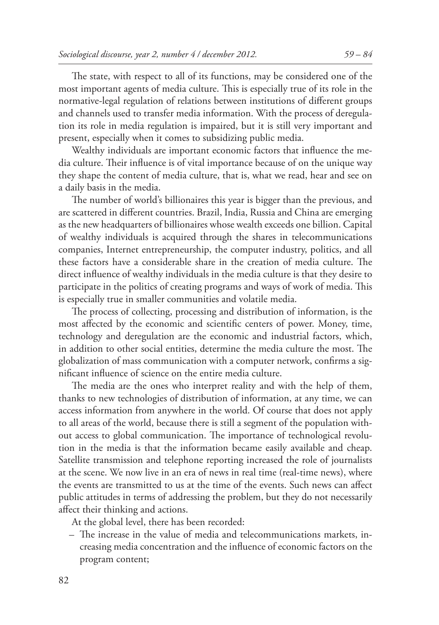The state, with respect to all of its functions, may be considered one of the most important agents of media culture. This is especially true of its role in the normative-legal regulation of relations between institutions of different groups and channels used to transfer media information. With the process of deregulation its role in media regulation is impaired, but it is still very important and present, especially when it comes to subsidizing public media.

Wealthy individuals are important economic factors that influence the media culture. Their influence is of vital importance because of on the unique way they shape the content of media culture, that is, what we read, hear and see on a daily basis in the media.

The number of world's billionaires this year is bigger than the previous, and are scattered in different countries. Brazil, India, Russia and China are emerging as the new headquarters of billionaires whose wealth exceeds one billion. Capital of wealthy individuals is acquired through the shares in telecommunications companies, Internet entrepreneurship, the computer industry, politics, and all these factors have a considerable share in the creation of media culture. The direct influence of wealthy individuals in the media culture is that they desire to participate in the politics of creating programs and ways of work of media. This is especially true in smaller communities and volatile media.

The process of collecting, processing and distribution of information, is the most affected by the economic and scientific centers of power. Money, time, technology and deregulation are the economic and industrial factors, which, in addition to other social entities, determine the media culture the most. The globalization of mass communication with a computer network, confirms a significant influence of science on the entire media culture.

The media are the ones who interpret reality and with the help of them, thanks to new technologies of distribution of information, at any time, we can access information from anywhere in the world. Of course that does not apply to all areas of the world, because there is still a segment of the population without access to global communication. The importance of technological revolution in the media is that the information became easily available and cheap. Satellite transmission and telephone reporting increased the role of journalists at the scene. We now live in an era of news in real time (real-time news), where the events are transmitted to us at the time of the events. Such news can affect public attitudes in terms of addressing the problem, but they do not necessarily affect their thinking and actions.

At the global level, there has been recorded:

– The increase in the value of media and telecommunications markets, increasing media concentration and the influence of economic factors on the program content;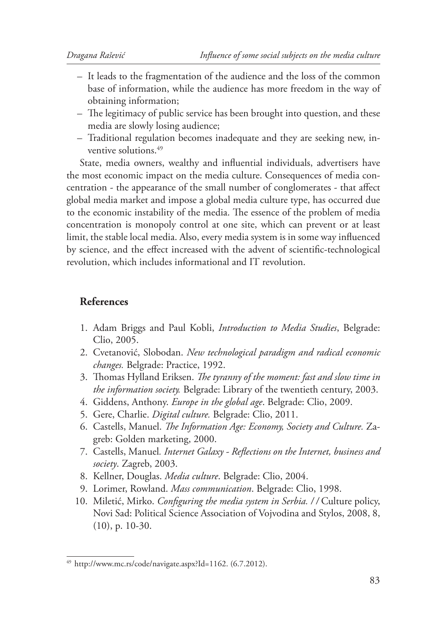- It leads to the fragmentation of the audience and the loss of the common base of information, while the audience has more freedom in the way of obtaining information;
- The legitimacy of public service has been brought into question, and these media are slowly losing audience;
- Traditional regulation becomes inadequate and they are seeking new, inventive solutions.<sup>49</sup>

State, media owners, wealthy and influential individuals, advertisers have the most economic impact on the media culture. Consequences of media concentration - the appearance of the small number of conglomerates - that affect global media market and impose a global media culture type, has occurred due to the economic instability of the media. The essence of the problem of media concentration is monopoly control at one site, which can prevent or at least limit, the stable local media. Also, every media system is in some way influenced by science, and the effect increased with the advent of scientific-technological revolution, which includes informational and IT revolution.

## **References**

- 1. Adam Briggs and Paul Kobli, *Introduction to Media Studies*, Belgrade: Clio, 2005.
- 2. Cvetanović, Slobodan. *New technological paradigm and radical economic changes.* Belgrade: Practice, 1992.
- 3. Thomas Hylland Eriksen. *The tyranny of the moment: fast and slow time in the information society.* Belgrade: Library of the twentieth century, 2003.
- 4. Giddens, Anthony. *Europe in the global age*. Belgrade: Clio, 2009.
- 5. Gere, Charlie. *Digital culture.* Belgrade: Clio, 2011.
- 6. Castells, Manuel. *The Information Age: Economy, Society and Culture. Za*greb: Golden marketing, 2000.
- 7. Castells, Manuel. Internet Galaxy Reflections on the Internet, business and *society*. Zagreb, 2003.
- 8. Kellner, Douglas. *Media culture*. Belgrade: Clio, 2004.
- 9. Lorimer, Rowland. *Mass communication*. Belgrade: Clio, 1998.
- 10. Miletić, Mirko. *Configuring the media system in Serbia.* // Culture policy, Novi Sad: Political Science Association of Vojvodina and Stylos, 2008, 8, (10), p. 10-30.

<sup>49</sup> http://www.mc.rs/code/navigate.aspx?Id=1162. (6.7.2012).